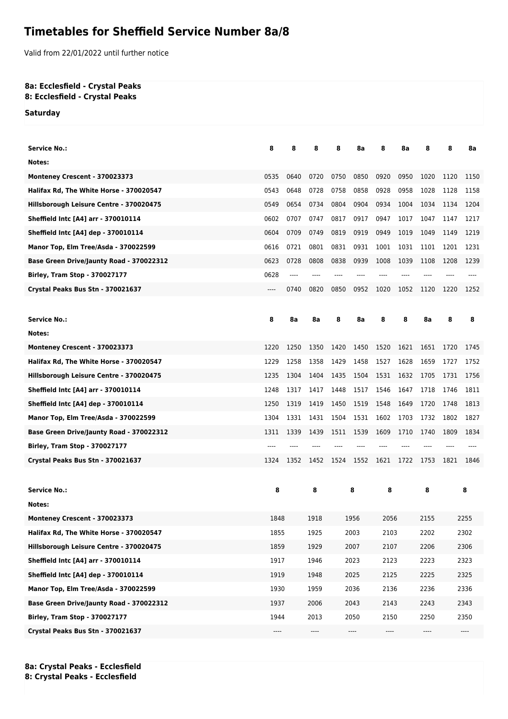## **Timetables for Sheffield Service Number 8a/8**

Valid from 22/01/2022 until further notice

## **8a: Ecclesfield - Crystal Peaks 8: Ecclesfield - Crystal Peaks**

**Saturday**

| <b>Service No.:</b>                        | 8    | 8    | 8        | 8    | 8a   | 8                             | 8a   | 8                            | 8    | 8a   |
|--------------------------------------------|------|------|----------|------|------|-------------------------------|------|------------------------------|------|------|
| Notes:                                     |      |      |          |      |      |                               |      |                              |      |      |
| Monteney Crescent - 370023373              | 0535 | 0640 | 0720     | 0750 | 0850 | 0920                          | 0950 | 1020                         | 1120 | 1150 |
| Halifax Rd, The White Horse - 370020547    | 0543 | 0648 | 0728     | 0758 | 0858 | 0928                          | 0958 | 1028                         | 1128 | 1158 |
| Hillsborough Leisure Centre - 370020475    | 0549 | 0654 | 0734     | 0804 | 0904 | 0934                          | 1004 | 1034                         | 1134 | 1204 |
| <b>Sheffield Intc [A4] arr - 370010114</b> | 0602 | 0707 | 0747     | 0817 | 0917 | 0947                          | 1017 | 1047                         | 1147 | 1217 |
| Sheffield Intc [A4] dep - 370010114        | 0604 | 0709 | 0749     | 0819 | 0919 | 0949                          | 1019 | 1049                         | 1149 | 1219 |
| Manor Top, Elm Tree/Asda - 370022599       | 0616 | 0721 | 0801     | 0831 | 0931 | 1001                          | 1031 | 1101                         | 1201 | 1231 |
| Base Green Drive/Jaunty Road - 370022312   | 0623 | 0728 | 0808     | 0838 | 0939 | 1008                          | 1039 | 1108                         | 1208 | 1239 |
| <b>Birley, Tram Stop - 370027177</b>       | 0628 | ---- |          |      |      |                               |      |                              |      |      |
| Crystal Peaks Bus Stn - 370021637          | ---- | 0740 | 0820     | 0850 | 0952 | 1020                          | 1052 | 1120                         | 1220 | 1252 |
|                                            |      |      |          |      |      |                               |      |                              |      |      |
| <b>Service No.:</b>                        | 8    | 8a   | 8a       | 8    | 8a   | 8                             | 8    | 8a                           | 8    | 8    |
| Notes:                                     |      |      |          |      |      |                               |      |                              |      |      |
| Monteney Crescent - 370023373              | 1220 | 1250 | 1350     | 1420 | 1450 | 1520                          | 1621 | 1651                         | 1720 | 1745 |
| Halifax Rd, The White Horse - 370020547    | 1229 | 1258 | 1358     | 1429 | 1458 | 1527                          | 1628 | 1659                         | 1727 | 1752 |
| Hillsborough Leisure Centre - 370020475    | 1235 | 1304 | 1404     | 1435 | 1504 | 1531                          | 1632 | 1705                         | 1731 | 1756 |
| Sheffield Intc [A4] arr - 370010114        | 1248 | 1317 | 1417     | 1448 | 1517 | 1546                          | 1647 | 1718                         | 1746 | 1811 |
| Sheffield Intc [A4] dep - 370010114        | 1250 | 1319 | 1419     | 1450 | 1519 | 1548                          | 1649 | 1720                         | 1748 | 1813 |
| Manor Top, Elm Tree/Asda - 370022599       | 1304 | 1331 | 1431     | 1504 | 1531 | 1602                          | 1703 | 1732                         | 1802 | 1827 |
| Base Green Drive/Jaunty Road - 370022312   | 1311 | 1339 | 1439     | 1511 | 1539 | 1609                          | 1710 | 1740                         | 1809 | 1834 |
| <b>Birley, Tram Stop - 370027177</b>       |      |      |          |      |      |                               |      |                              |      |      |
| Crystal Peaks Bus Stn - 370021637          | 1324 | 1352 | 1452     | 1524 | 1552 | 1621                          | 1722 | 1753                         | 1821 | 1846 |
|                                            |      |      |          |      |      |                               |      |                              |      |      |
| <b>Service No.:</b>                        | 8    |      | 8        | 8    |      | 8                             |      | 8                            | 8    |      |
| Notes:                                     |      |      |          |      |      |                               |      |                              |      |      |
| Monteney Crescent - 370023373              | 1848 |      | 1918     |      | 1956 | 2056                          |      | 2155                         |      | 2255 |
| Halifax Rd, The White Horse - 370020547    | 1855 |      | 1925     |      | 2003 | 2103                          |      | 2202                         |      | 2302 |
| Hillsborough Leisure Centre - 370020475    | 1859 |      | 1929     |      | 2007 | 2107                          |      | 2206                         |      | 2306 |
| Sheffield Intc [A4] arr - 370010114        | 1917 |      | 1946     |      | 2023 | 2123                          |      | 2223                         |      | 2323 |
| Sheffield Intc [A4] dep - 370010114        | 1919 |      | 1948     |      | 2025 | 2125                          |      | 2225                         |      | 2325 |
| Manor Top, Elm Tree/Asda - 370022599       | 1930 |      | 1959     |      | 2036 | 2136                          |      | 2236                         |      | 2336 |
| Base Green Drive/Jaunty Road - 370022312   | 1937 |      | 2006     |      | 2043 | 2143                          |      | 2243                         |      | 2343 |
| Birley, Tram Stop - 370027177              | 1944 |      | 2013     |      | 2050 | 2150                          |      | 2250                         |      | 2350 |
| Crystal Peaks Bus Stn - 370021637          | ---- |      | $\cdots$ |      | ---- | $\hspace{1.5cm} \textbf{---}$ |      | $\qquad \qquad \textbf{---}$ |      | ---- |